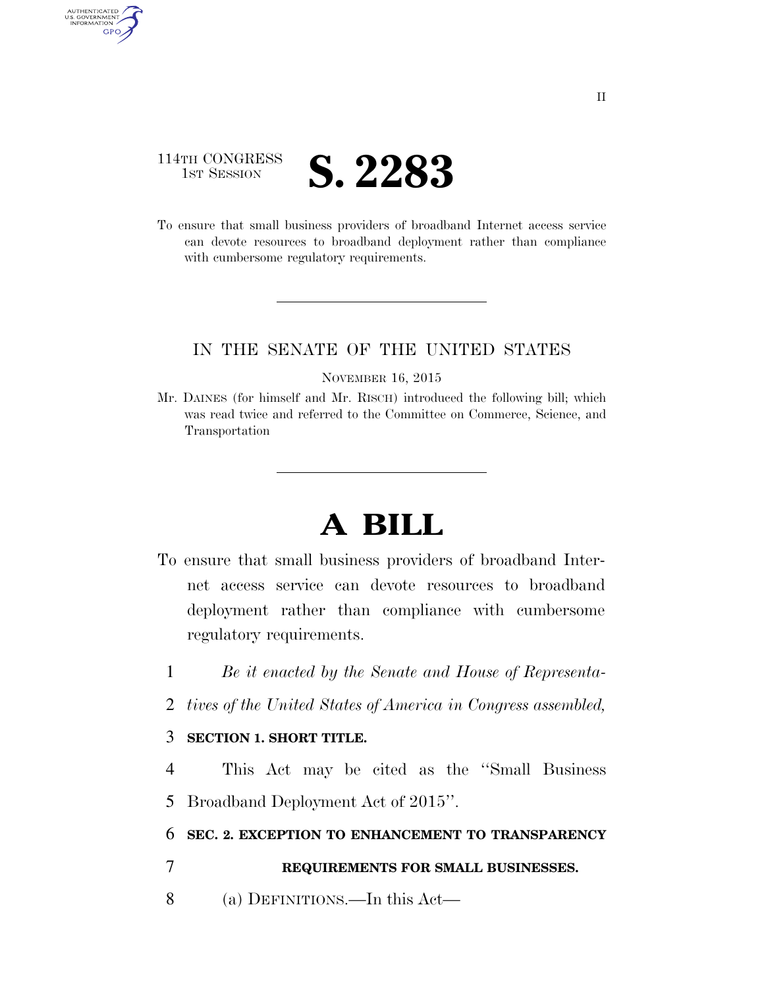

AUTHENTICATED U.S. GOVERNMENT **GPO** 

> To ensure that small business providers of broadband Internet access service can devote resources to broadband deployment rather than compliance with cumbersome regulatory requirements.

## IN THE SENATE OF THE UNITED STATES

#### NOVEMBER 16, 2015

Mr. DAINES (for himself and Mr. RISCH) introduced the following bill; which was read twice and referred to the Committee on Commerce, Science, and Transportation

# **A BILL**

- To ensure that small business providers of broadband Internet access service can devote resources to broadband deployment rather than compliance with cumbersome regulatory requirements.
	- 1 *Be it enacted by the Senate and House of Representa-*
	- 2 *tives of the United States of America in Congress assembled,*

### 3 **SECTION 1. SHORT TITLE.**

4 This Act may be cited as the ''Small Business 5 Broadband Deployment Act of 2015''.

6 **SEC. 2. EXCEPTION TO ENHANCEMENT TO TRANSPARENCY** 

### 7 **REQUIREMENTS FOR SMALL BUSINESSES.**

8 (a) DEFINITIONS.—In this Act—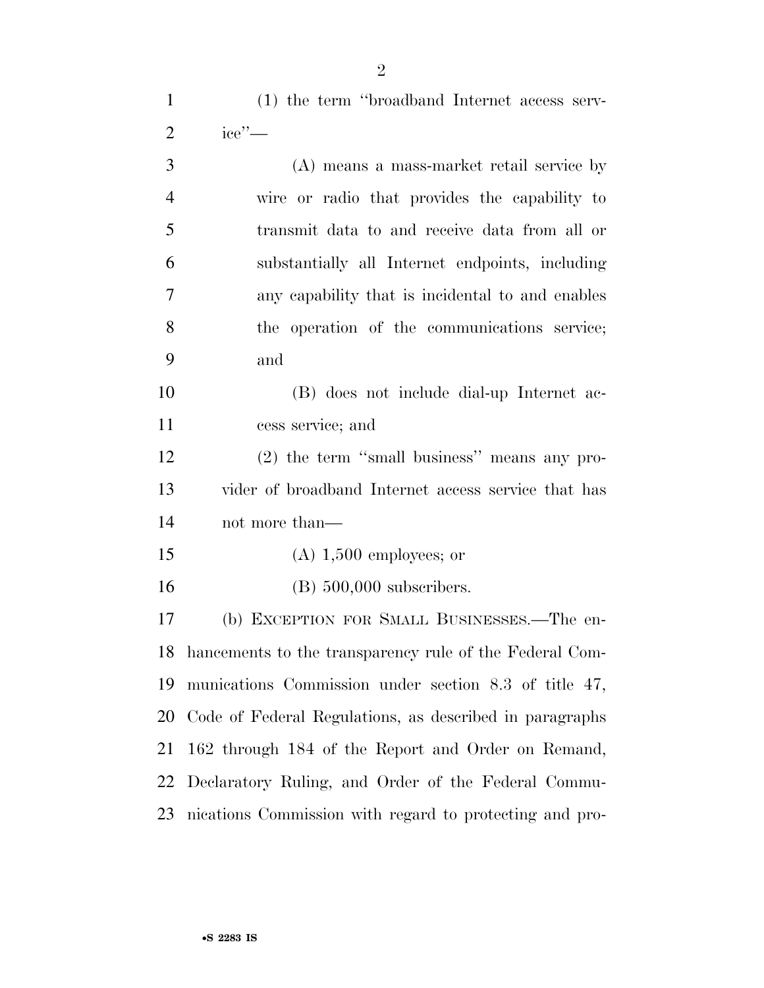(1) the term ''broadband Internet access serv-

| $\overline{2}$ | $\text{ice}^{\prime\prime}$ —                           |
|----------------|---------------------------------------------------------|
| 3              | (A) means a mass-market retail service by               |
| $\overline{4}$ | wire or radio that provides the capability to           |
| 5              | transmit data to and receive data from all or           |
| 6              | substantially all Internet endpoints, including         |
| 7              | any capability that is incidental to and enables        |
| 8              | the operation of the communications service;            |
| 9              | and                                                     |
| 10             | (B) does not include dial-up Internet ac-               |
| 11             | cess service; and                                       |
| 12             | $(2)$ the term "small business" means any pro-          |
| 13             | vider of broadband Internet access service that has     |
| 14             | not more than—                                          |
| 15             | $(A)$ 1,500 employees; or                               |
| 16             | $(B)$ 500,000 subscribers.                              |
| 17             | (b) EXCEPTION FOR SMALL BUSINESSES.—The en-             |
| 18             | hancements to the transparency rule of the Federal Com- |
| 19             | munications Commission under section 8.3 of title 47,   |
| 20             | Code of Federal Regulations, as described in paragraphs |
| 21             | 162 through 184 of the Report and Order on Remand,      |

nications Commission with regard to protecting and pro-

Declaratory Ruling, and Order of the Federal Commu-